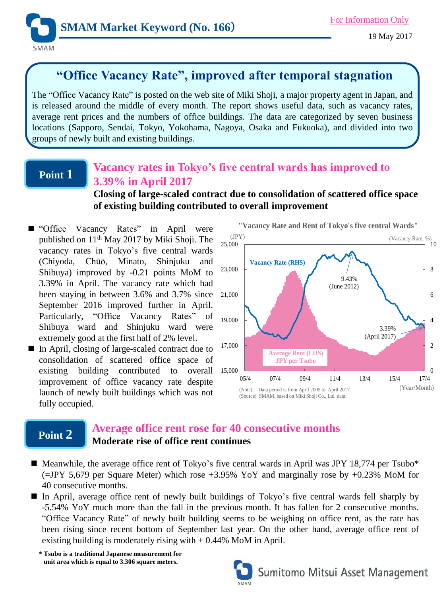

19 May 2017

# **"Office Vacancy Rate", improved after temporal stagnation**

The "Office Vacancy Rate" is posted on the web site of Miki Shoji, a major property agent in Japan, and is released around the middle of every month. The report shows useful data, such as vacancy rates, average rent prices and the numbers of office buildings. The data are categorized by seven business locations (Sapporo, Sendai, Tokyo, Yokohama, Nagoya, Osaka and Fukuoka), and divided into two groups of newly built and existing buildings.

# **Point 1**

## **Vacancy rates in Tokyo's five central wards has improved to 3.39% in April 2017**

**Closing of large-scaled contract due to consolidation of scattered office space of existing building contributed to overall improvement** 

- "Office Vacancy Rates" in April were published on 11<sup>th</sup> May 2017 by Miki Shoji. The vacancy rates in Tokyo's five central wards (Chiyoda, Chūō, Minato, Shinjuku and Shibuya) improved by -0.21 points MoM to 3.39% in April. The vacancy rate which had been staying in between 3.6% and 3.7% since September 2016 improved further in April. Particularly, "Office Vacancy Rates" of Shibuya ward and Shinjuku ward were extremely good at the first half of 2% level.
- In April, closing of large-scaled contract due to consolidation of scattered office space of existing building contributed to overall improvement of office vacancy rate despite launch of newly built buildings which was not fully occupied.



## **Point 2**

## **Average office rent rose for 40 consecutive months Moderate rise of office rent continues**

- $\blacksquare$  Meanwhile, the average office rent of Tokyo's five central wards in April was JPY 18,774 per Tsubo\* (=JPY 5,679 per Square Meter) which rose +3.95% YoY and marginally rose by +0.23% MoM for 40 consecutive months.
- In April, average office rent of newly built buildings of Tokyo's five central wards fell sharply by -5.54% YoY much more than the fall in the previous month. It has fallen for 2 consecutive months. "Office Vacancy Rate" of newly built building seems to be weighing on office rent, as the rate has been rising since recent bottom of September last year. On the other hand, average office rent of existing building is moderately rising with  $+ 0.44\%$  MoM in April.

**\* Tsubo is a traditional Japanese measurement for unit area which is equal to 3.306 square meters.**